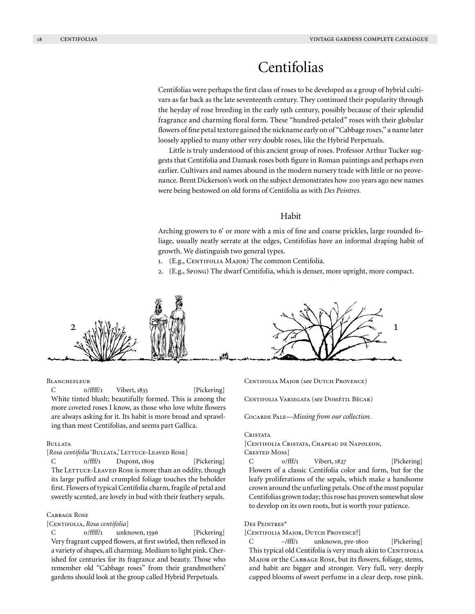# Centifolias

Centifolias were perhaps the first class of roses to be developed as a group of hybrid cultivars as far back as the late seventeenth century. They continued their popularity through the heyday of rose breeding in the early 19th century, possibly because of their splendid fragrance and charming floral form. These "hundred-petaled" roses with their globular flowers of fine petal texture gained the nickname early on of "Cabbage roses," a name later loosely applied to many other very double roses, like the Hybrid Perpetuals.

Little is truly understood of this ancient group of roses. Professor Arthur Tucker suggests that Centifolia and Damask roses both figure in Roman paintings and perhaps even earlier. Cultivars and names abound in the modern nursery trade with little or no provenance. Brent Dickerson's work on the subject demonstrates how 200 years ago new names were being bestowed on old forms of Centifolia as with *Des Peintres.*

## Habit

Arching growers to 6' or more with a mix of fine and coarse prickles, large rounded foliage, usually neatly serrate at the edges, Centifolias have an informal draping habit of growth. We distinguish two general types.

- 1. (E.g., CENTIFOLIA MAJOR) The common Centifolia.
- 2. (E.g., Spong) The dwarf Centifolia, which is denser, more upright, more compact.



#### **BLANCHEFLEUR**

C 0/ffff/1 Vibert, 1835 [Pickering] White tinted blush; beautifully formed. This is among the more coveted roses I know, as those who love white flowers are always asking for it. Its habit is more broad and sprawling than most Centifolias, and seems part Gallica.

#### Bullata

[Rosa centifolia 'BULLATA,' LETTUCE-LEAVED ROSE]

C  $0/$ fff/1 Dupont, 1809 [Pickering] The LETTUCE-LEAVED ROSE is more than an oddity, though its large puffed and crumpled foliage touches the beholder first. Flowers of typical Centifolia charm, fragile of petal and sweetly scented, are lovely in bud with their feathery sepals.

## CABBAGE ROSE

[Centifolia, *Rosa centifolia*]

C 0/ffff/1 unknown, 1596 [Pickering] Very fragrant cupped flowers, at first swirled, then reflexed in a variety of shapes, all charming. Medium to light pink. Cherished for centuries for its fragrance and beauty. Those who remember old "Cabbage roses" from their grandmothers' gardens should look at the group called Hybrid Perpetuals.

CENTIFOLIA MAJOR (see DUTCH PROVENCE)

Centifolia Variegata (see Dométil Bécar)

Cocarde Pale—*Missing from our collection.*

## **CRISTATA**

[Centifolia Cristata, Chapeau de Napoleon, CRESTED MOSS

 $C$  0/fff/1 Vibert, 1827 [Pickering] Flowers of a classic Centifolia color and form, but for the leafy proliferations of the sepals, which make a handsome crown around the unfurling petals. One of the most popular Centifolias grown today; this rose has proven somewhat slow to develop on its own roots, but is worth your patience.

#### Des Peintres\*

## [CENTIFOLIA MAJOR, DUTCH PROVENCE?]

C –/fff/1 unknown, pre-1800 [Pickering] This typical old Centifolia is very much akin to CENTIFOLIA Major or the Cabbage Rose, but its flowers, foliage, stems, and habit are bigger and stronger. Very full, very deeply cupped blooms of sweet perfume in a clear deep, rose pink.